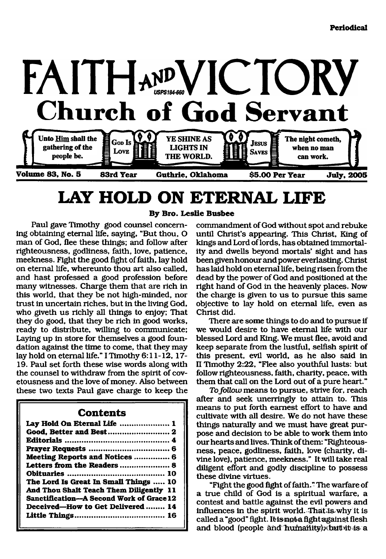

# <span id="page-0-0"></span>**LAY HOLD ON ETERNAL LIFE**

Paul gave Timothy good counsel concerning obtaining eternal life, saying, "But thou, O man of God, flee these things; and follow after righteousness, godliness, faith, love, patience, meekness. Fight the good fight of faith, lay hold on eternal life, whereunto thou art also called, and hast professed a good profession before many witnesses. Charge them that are rich in this world, that they be not high-minded, nor trust in uncertain riches, but in the living God, who giveth us richly all things to enjoy; That they do good, that they be rich in good works, ready to distribute, willing to communicate; Laying up in store for themselves a good foundation against the time to come, that they may lay hold on eternal life." I Timothy 6:11-12, 17- 19. Paul set forth these wise words along with the counsel to withdraw from the spirit of covetousness and the love of money. Also between these two texts Paul gave charge to keep the

#### **Contents**

| Lay Hold On Eternal Life  1              |
|------------------------------------------|
|                                          |
|                                          |
|                                          |
| Meeting Reports and Notices  6           |
| Letters from the Readers  8              |
|                                          |
| The Lord Is Great In Small Things  10    |
| And Thou Shalt Teach Them Diligently 11  |
| Sanctification-A Second Work of Grace 12 |
| Deceived-How to Get Delivered  14        |
|                                          |

### **By Bro. Leslie Busbee**

commandment of God without spot and rebuke until Christ's appearing. This Christ, King of kings and Lord of lords, has obtained immortality and dwells beyond mortals' sight and has been given honour and power everlasting. Christ has laid hold on eternal life, being risen from the dead by the power of God and positioned at the right hand of God in the heavenly places. Now the charge is given to us to pursue this same objective to lay hold on eternal life, even as Christ did.

There are some things to do and to pursue if we would desire to have eternal life with our blessed Lord and King. We must flee, avoid and keep separate from the lustful, selfish spirit of this present, evil world, as he also said in II Timothy 2:22, "Flee also youthful lusts: but follow righteousness, faith, charity, peace, with them that call on the Lord out of a pure heart."

*To follow* means to pursue, strive for, reach after and seek unerringly to attain to. This means to put forth earnest effort to have and cultivate with all desire. We do not have these things naturally and we must have great purpose and decision to be able to work them into our hearts and lives. Think of them: "Righteousness, peace, godliness, faith, love (charity, divine love), patience, meekness." It will take real diligent effort and godly discipline to possess these divine virtues.

"Fight the good fight of faith." The warfare of a true child of God is a spiritual warfare, a contest and battle against the evil powers and influences in the spirit world. That is why it is called a "good" fight. It is not a fight against flesh and blood (people and humanity) (but it is a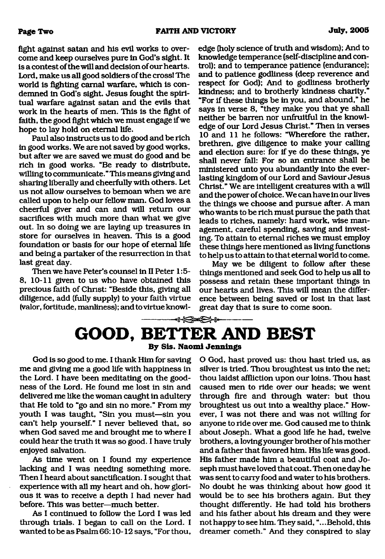fight against satan and his evil works to overcome and keep ourselves pure in God's sight. It is a contest of the will and decision of our hearts. Lord, make us all good soldiers of the cross! The world is fighting carnal warfare, which is condemned in God's sight. Jesus fought the spiritual warfare against satan and the evils that work in the hearts of men. This is the fight of faith, the good fight which we must engage if we hope to lay hold on eternal life.

Paul also instructs us to do good and be rich in good works. We are not saved by good works, but after we are saved we must do good and be rich in good works. "Be ready to distribute, willing to communicate." This means giving and sharing liberally and cheerfully with others. Let us not allow ourselves to bemoan when we are called upon to help our fellow man. God loves a cheerful giver and can and will return our sacrifices with much more than what we give out. In so doing we are laying up treasures in store for ourselves in heaven. This is a good foundation or basis for our hope of eternal life and being a partaker of the resurrection in that last great day.

Then we have Peter's counsel in II Peter 1:5-8, 10-11 given to us who have obtained this precious faith of Christ: "Beside this, giving all diligence, add (fully supply) to your faith virtue (valor, fortitude, manliness); and to virtue knowl-

edge (holy science of truth and wisdom); And to knowledge temperance (self-discipline and control); and to temperance patience (endurance); and to patience godliness (deep reverence and respect for God); And to godliness brotherly kindness; and to brotherly kindness charity." "For if these things be in you, and abound," he says in verse 8, "they make you that ye shall neither be barren nor unfruitful in the knowledge of our Lord Jesus Christ." Then in verses 10 and 11 he follows: "Wherefore the rather, brethren, give diligence to make your calling and election sure: for if ye do these things, ye shall never fall: For so an entrance shall be ministered unto you abundantly into the everlasting kingdom of our Lord and Saviour Jesus Christ." We are intelligent creatures with a will and the power of choice. We can have in our lives the things we choose and pursue after. A man who wants to be rich must pursue the path that leads to riches, namely: hard work, wise management, careful spending, saving and investing. To attain to eternal riches we must employ these things here mentioned as living functions to help us to attain to that eternal world to come.

May we be diligent to follow after these things mentioned and seek God to help us all to possess and retain these important things in our hearts and lives. This will mean the difference between being saved or lost in that last great day that is sure to come soon.

### <span id="page-1-0"></span>**→8←3→8← GOOD, BETTER AND BEST By Sis. Naomi Jennings**

God is so good to me. I thank Him for saving me and giving me a good life with happiness in the Lord. I have been meditating on the goodness of the Lord. He found me lost in sin and delivered me like the woman caught in adultery that He told to "go and sin no more." From my youth I was taught, "Sin you must—sin you can't help yourself." I never believed that, so when God saved me and brought me to where I could hear the truth it was so good. I have truly enjoyed salvation.

As time went on I found my experience lacking and I was needing something more. Then I heard about sanctification. I sought that experience with all my heart and oh, how glorious it was to receive a depth I had never had before. This was better—much better.

As I continued to follow the Lord I was led through trials. I began to call on the Lord. I wanted to be as Psalm 66:10-12 says, "For thou,

O God, hast proved us: thou hast tried us, as silver is tried. Thou broughtest us into the net; thou laidst affliction upon our loins. Thou hast caused men to ride over our heads; we went through fire and through water: but thou broughtest us out into a wealthy place." However, I was not there and was not willing for anyone to ride over me. God caused me to think about Joseph. What a good life he had, twelve brothers, a loving younger brother of his mother and a father that favored him. His life was good. His father made him a beautiful coat and Joseph must have loved that coat. Then one day he was sent to carry food and water to his brothers. No doubt he was thinking about how good it would be to see his brothers again. But they thought differently. He had told his brothers and his father about his dream and they were not happy to see him. They said, ".. .Behold, this dreamer cometh." And they conspired to slay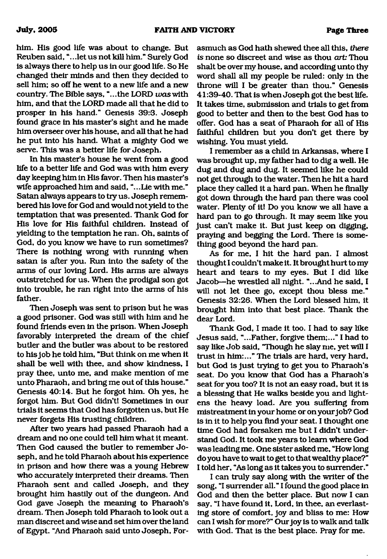him. His good life was about to change. But Reuben said, ".. .let us not kill him." Surely God is always there to help us in our good life. So He changed their minds and then they decided to sell him; so off he went to a new life and a new country. The Bible says, "...the LORD was with him, and that the LORD made all that he did to prosper in his hand." Genesis 39:3. Joseph found grace in his master's sight and he made him overseer over his house, and all that he had he put into his hand. What a mighty God we serve. This was a better life for Joseph.

In his master's house he went from a good life to a better life and God was with him every day keeping him in His favor. Then his master's wife approached him and said, ". ..Lie with me." Satan always appears to try us. Joseph remembered his love for God and would not yield to the temptation that was presented. Thank God for His love for His faithful children. Instead of yielding to the temptation he ran. Oh, saints of God, do you know we have to run sometimes? There is nothing wrong with running when satan is after you. Run into the safety of the arms of our loving Lord. His arms are always outstretched for us. When the prodigal son got into trouble, he ran right into the arms of his father.

Then Joseph was sent to prison but he was a good prisoner. God was still with him and he found friends even in the prison. When Joseph favorably interpreted the dream of the chief butler and the butler was about to be restored to his job he told him, "But think on me when it shall be well with thee, and show kindness, I pray thee, unto me, and make mention of me unto Pharaoh, and bring me out of this house." Genesis 40:14. But he forgot him. Oh yes, he forgot him. But God didn't! Sometimes in our trials it seems that God has forgotten us, but He never forgets His trusting children.

After two years had passed Pharaoh had a dream and no one could tell him what it meant. Then God caused the butler to remember Joseph, and he told Pharaoh about his experience in prison and how there was a young Hebrew who accurately interpreted their dreams. Then Pharaoh sent and called Joseph, and they brought him hastily out of the dungeon. And God gave Joseph the meaning to Pharaoh's dream. Then Joseph told Pharaoh to look out a man discreet and wise and set him over the land of Egypt. "And Pharaoh said unto Joseph, Forasmuch as God hath shewed thee all this, *there is* none so discreet and wise as thou *art:* Thou shalt be over my house, and according unto thy word shall all my people be ruled: only in the throne will I be greater than thou." Genesis 41:39-40. That is when Joseph got the best life. It takes time, submission and trials to get from good to better and then to the best God has to offer. God has a seat of Pharaoh for all of His faithful children but you don't get there by wishing. You must yield.

I remember as a child in Arkansas, where I was brought up, my father had to dig a well. He dug and dug and dug. It seemed like he could not get through to the water. Then he hit a hard place they called it a hard pan. When he finally got down through the hard pan there was cool water. Plenty of it! Do you know we all have a hard pan to go through. It may seem like you just can't make it. But just keep on digging, praying and begging the Lord. There is something good beyond the hard pan.

As for me, I hit the hard pan. I almost thought I couldn't make it. It brought hurt to my heart and tears to my eyes. But I did like Jacob—he wrestled all night. "...And he said, I will not let thee go, except thou bless me." Genesis 32:26. When the Lord blessed him, it brought him into that best place. Thank the dear Lord.

Thank God, I made it too. I had to say like Jesus said, "...Father, forgive them;..." I had to say like Job said, "Though he slay me, yet will I trust in him:..." The trials are hard, very hard, but God is just trying to get you to Pharaoh's seat. Do you know that God has a Pharaoh's seat for you too? It is not an easy road, but it is a blessing that He walks beside you and lightens the heavy load. Are you suffering from mistreatment in your home or on your job? God is in it to help you find your seat. I thought one time God had forsaken me but I didn't understand God. It took me years to learn where God was leading me. One sister asked me, "How long do you have to wait to get to that wealthy place?" I told her, "As long as it takes you to surrender."

I can truly say along with the writer of the song, "I surrender all." I found the good place in God and then the better place. But now I can say, "I have found it. Lord, in thee, an everlasting store of comfort, joy and bliss to me: How can I wish for more?" Our joy is to walk and talk with God. That is the best place. Pray for me.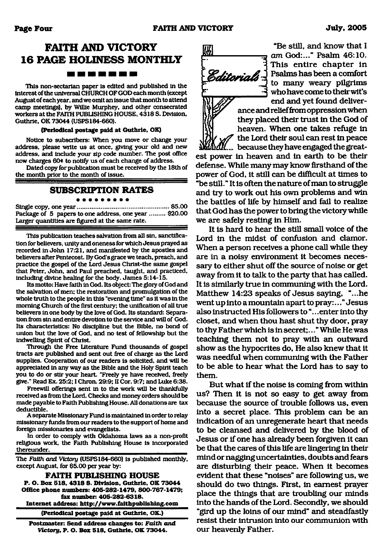### **FAITH AND VICTORY 16 PAGE HOLINESS MONTHLY** ---------

This non-sectarian paper Is edited and published In the Interest of the universal CHURCH OF GOD each month (except August of each year, and we omit an issue that month to attend camp meetings), by Willie Murphey, and other consecrated workers at the FATIH PUBLISHING HOUSE. 4318 S. Division. Guthrie. OK 73044 (USPS184-660).

#### **(Periodical postage paid at Guthrie, OK)**

Notice to subscribers: When you move or change your address, please write us at once, giving your old and new address, and Include your zip code number. The post office now charges 60\* to notify us of each change of address.

Dated copy for publication must be received by the 18th of the month prior to the month of issue.

#### **SUBSCRIPTION RATES**

Single copy, one year......................................................\$5.00 Package of 5 papers to one address, one year ......... \$20.00 Larger quantities are figured at the same rate.

This publication teaches salvation from all sin. sanctification for believers, unify and oneness for which Jesus prayed as recorded In John 17:21, and manifested by the apostles and believers after Pentecost. By God's grace we teach, preach, and practice the gospel of the Lord Jesus Christ-the same gospel that Peter, John, and Paul preached, taught, and practiced, including divine healing for the body. James 5:14-15.

Its motto: Have faith In God. Its object: The glory of God and the salvation of men; the restoration and promulgation of the whole truth to the people in this "evening time" as it was in the morning Church of the first century; the unification of all true believers in one body by the love of God. Its standard: Separation from sin and entire devotion to the service and will of God. Its characteristics: No discipline but the Bible, no bond of union but the love of God, and no test of fellowship but the indwelling Spirit of Christ.

Through the Free Literature Fund thousands of gospel tracts are published and sent out free of charge as the Lord supplies. Cooperation of our readers is solicited, and will be appreciated in any way as the Bible and the Holy Spirit teach you to do or stir your heart. "Freely ye have received, freely give." Read Ex. 25:2; I Chron. 29:9; II Cor. 9:7; and Luke 6:38.

Freewill offerings sent in to the work will be thankfully received as from the Lord. Checks and money orders should be made payable to Faith Publishing House. All donations are tax deductible.

A separate Missionary Fund Is maintained In order to relay missionary funds from our readers to the support of home and foreign missionaries and evangelists.

In order to comply with Oklahoma laws as a non-profit religious work, the Faith Publishing House is Incorporated thereunder

The *Faith, and Victory* (USPS184-660) Is published monthly, except August, for \$5.00 per year by:

**FAITH PUBLISHING HOUSE P. O. Box 518, 4318 8. Division, Guthrie. OK 73044 Office phone numbers: 405-282-1479, 800-767-1479; fax number: 405-282-6318. Internet address: <http://www.falthpubllshlng.com>**

**(Periodical postage paid at Guthrie, OK.)**

**Postmaster: Send address changes to:** *Faith and V ictory ,* **P. O. Box 518, Guthrie, OK 73044.**

*am* God:..." Psalm 46:10. **• 3** Editorials

This entire chapter in Psalms has been a comfort to many weary pilgrims who have come to their wit's end and yet found deliver-*}* ance and relief from oppression when they placed their trust in the God of heaven. When one takes refuge in

"Be still, and know that I

*f* the Lord their soul can rest in peace  $\delta M$ , because they have engaged the great-

est power in heaven and in earth to be their defense. While many may know firsthand of the power of God, it still can be difficult at times to "be still." It is often the nature of man to struggle and try to work out his own problems and win the battles of life by himself and fail to realize that God has the power to bring the victory while we are safely resting in Him.

It is hard to hear the still small voice of the Lord in the midst of confusion and clamor. When a person receives a phone call while they are in a noisy environment it becomes necessary to either shut off the source of noise or get away from it to talk to the party that has called. It is similarly true in communing with the Lord. Matthew 14:23 speaks of Jesus saying, "...he went up into a mountain apart to pray:..." Jesus also instructed His followers to ".. .enter into thy closet, and when thou hast shut thy door, pray to thy Father which is in secret;..." While He was teaching them not to pray with an outward show as the hypocrites do, He also knew that it was needful when communing with the Father to be able to hear what the Lord has to say to them.

But what if the noise is coming from within us? Then it is not so easy to get away from because the source of trouble follows us, even into a secret place. This problem can be an indication of an unregenerate heart that needs to be cleansed and delivered by the blood of Jesus or if one has already been forgiven it can be that the cares of this life are lingering in their mind or nagging uncertainties, doubts and fears are disturbing their peace. When it becomes evident that these "noises" are following us, we should do two things. First, in earnest prayer place the things that are troubling our minds into the hands of the Lord. Secondly, we should "gird up the loins of our mind" and steadfastly resist their intrusion into our communion with our heavenly Father.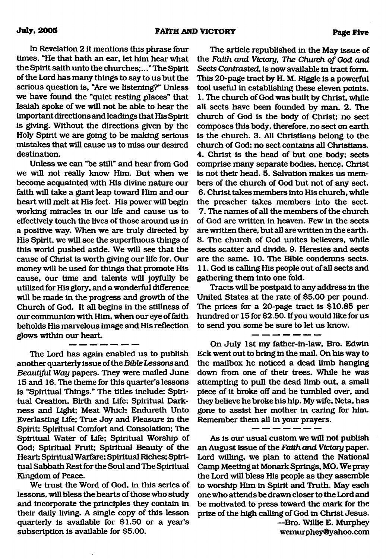In Revelation 2 it mentions this phrase four times, "He that hath an ear, let him hear what the Spirit saithunto the churches;.. ."The Spirit of the Lord has many things to say to us but the serious question is, "Are we listening?" Unless we have found the "quiet resting places" that Isaiah spoke of we will not be able to hear the important directions and leadings that His Spirit is giving. Without the directions given by the Holy Spirit we are going to be making serious mistakes that will cause us to miss our desired destination.

Unless we can "be still" and hear from God we will not really know Him. But when we become acquainted with His divine nature our faith will take a giant leap toward Him and our heart will melt at His feet. His power will begin working miracles in our life and cause us to effectively touch the lives of those around us in a positive way. When we are truly directed by His Spirit, we will see the superfluous things of this world pushed aside. We will see that the cause of Christ is worth giving our life for. Our money will be used for things that promote His cause, our time and talents will joyfully be utilized for His glory, and a wonderful difference will be made in the progress and growth of the Church of God. It all begins in the stillness of our communion with Him, when our eye of faith beholds His marvelous image and His reflection glows within our heart.

The Lord has again enabled us to publish another quarterly issue of the *Bible Lessons* and *Beautiful Way* papers. They were mailed June 15 and 16. The theme for this quarter's lessons is "Spiritual Things." The titles include: Spiritual Creation, Birth and Life; Spiritual Darkness and Light; Meat Which Endureth Unto Everlasting Life; True Joy and Pleasure in the Spirit; Spiritual Comfort and Consolation; The Spiritual Water of Life; Spiritual Worship of God; Spiritual Fruit; Spiritual Beauty of the Heart; Spiritual Warfare; Spiritual Riches; Spiritual Sabbath Rest for the Soul and The Spiritual Kingdom of Peace.

We trust the Word of God, in this series of lessons, will bless the hearts of those who study and incorporate the principles they contain in their daily living. A single copy of this lesson quarterly is available for \$1.50 or a year's subscription is available for \$5.00.

The article republished in the May issue of the Faith and Victory, The Church of God and *Sects Contrasted,* is now available in tract form. This 20-page tract by H. M. Riggle is a powerful tool useful in establishing these eleven points. I. The church of God was built by Christ, while all sects have been founded by man. 2. The church of God is the body of Christ; no sect composes this body, therefore, no sect on earth is the church. 3. All Christians belong to the church of God; no sect contains all Christians. 4. Christ is the head of but one body; sects comprise many separate bodies, hence, Christ is not their head. 5. Salvation makes us members of the church of God but not of any sect. 6. Christ takes members into His church, while the preacher takes members into the sect. 7. The names of all the members of the church of God are written in heaven. Few in the sects are written there, but all are written in the earth. 8. The church of God unites believers, while sects scatter and divide. 9. Heresies and sects are the same. 10. The Bible condemns sects. II. God is calling His people out of all sects and gathering them into one fold.

Tracts will be postpaid to any address in the United States at the rate of \$5.00 per pound. The prices for a 20-page tract is \$10.85 per hundred or 15 for \$2.50. If you would like for us to send you some be sure to let us know.

On July 1st my father-in-law, Bro. Edwin Eck went out to bring in the mail. On his way to the mailbox he noticed a dead limb hanging down from one of their trees. While he was attempting to pull the dead limb out, a small piece of it broke off and he tumbled over, and they believe he broke his hip. My wife, Neta, has gone to assist her mother in caring for him. Remember them all in your prayers.

As is our usual custom we will not publish an August issue of the *Faith and Victory* paper. Lord willing, we plan to attend the National Camp Meeting at Monark Springs, MO. We pray the Lord will bless His people as they assemble to worship Him in Spirit and Truth. May each one who attends be drawn closer to the Lord and be motivated to press toward the mark for the prize of the high calling of God in Christ Jesus. —Bro. Willie E. Murphey [wemurphey@yahoo.com](mailto:wemurphey@yahoo.com)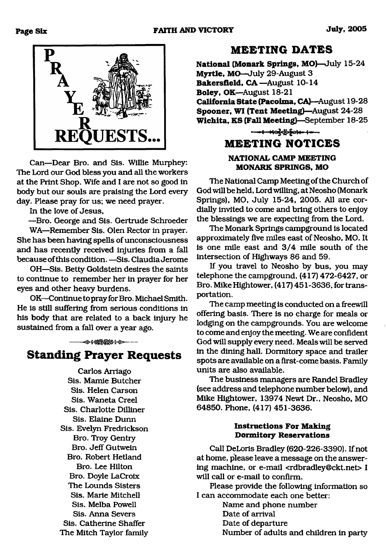

Can—Dear Bro. and Sis. Willie Murphey: The Lord our God bless you and all the workers at the Print Shop. Wife and I are not so good in body but our souls are praising the Lord every day. Please pray for us; we need prayer.

In the love of Jesus,

—Bro. George and Sis. Gertrude Schroeder WA—Remember Sis. Olen Rector in prayer. She has been having spells of unconsciousness and has recently received injuries from a fall because of this condition. —Sis. Claudia Jerome

OH—Sis. Betty Goldstein desires the saints to continue to remember her in prayer for her eyes and other heavy burdens.

OK—-Continue to pray for Bro. Michael Smith. He is still suffering from serious conditions in his body that are related to a back injury he sustained from a fall over a year ago.

→ + 02000+ 0-

**Standing Prayer Requests** 

Carlos Arriago Sis. Mamie Butcher Sis. Helen Carson Sis. Waneta Creel Sis. Charlotte Dilliner Sis. Elaine Dunn Sis. Evelyn Fredrickson Bro. Troy Gentiy Bro. Jeff Gutwein Bro. Robert Hetland Bro. Lee Hilton Bro. Doyle LaCroix The Lounds Sisters Sis. Marie Mitchell Sis. Melba Powell Sis. Anna Severs Sis. Catherine Shaffer The Mitch Taylor family

### **M EETING DATES**

**National (Monark Springs, MO)—**July 15-24 **Myrtle, MO**—July 29-August 3 Bakersfield, CA -August 10-14 **Boley,** OK—August 18-21 **California State (Pacoima, CA)—**August 19-28 **Spooner, WI (Tent Meeting)—August 24-28 W ichita, KS (Fall Meeting)**—September 18-25

## **M EETING NOTICES NATIONAL CAMP MEETING**

**MONARK SPRINGS, MO**

The National Camp Meeting of the Church of God will be held. Lord willing, at Neosho (Monark Springs), MO, July 15-24, 2005. All are cordially invited to come and bring others to enjoy the blessings we are expecting from the Lord.

The Monark Springs campground is located approximately five miles east of Neosho, MO. It is one mile east and 3/4 mile south of the intersection of Highways 86 and 59.

If you travel to Neosho by bus, you may telephone the campground, (417) 472-6427, or Bro. Mike Hightower, (417) 451-3636, for transportation.

The camp meeting is conducted on a freewill offering basis. There is no charge for meals or lodging on the campgrounds. You are welcome to come and enjoy the meeting. We are confident God will supply every need. Meals will be served in the dining hall. Dormitory space and trailer spots are available on a first-come basis. Family units are also available.

The business managers are Randel Bradley (see address and telephone number below), and Mike Hightower, 13974 Newt Dr., Neosho, MO 64850. Phone, (417) 451-3636.

#### **Instructions For Making Dormitory Reservations**

Call DeLoris Bradley (620-226-3390). If not at home, please leave a message on the answering machine, or e-mail [<rdbradley@ckt.net](mailto:rdbradley@ckt.net)> I will call or e-mail to confirm.

Please provide the following information so I can accommodate each one better:

Name and phone number Date of arrival Date of departure Number of adults and children in party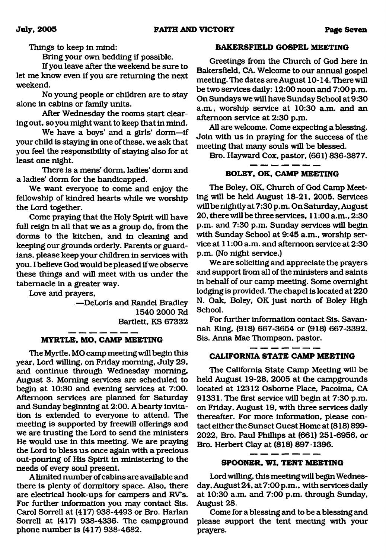Things to keep in mind:

Bring your own bedding if possible.

If you leave after the weekend be sure to let me know even if you are returning the next weekend.

No young people or children are to stay alone in cabins or family units.

After Wednesday the rooms start clearing out, so you might want to keep that in mind.

We have a boys' and a girls' dorm—if your child is staying in one of these, we ask that you feel the responsibility of staying also for at least one night.

There is a mens' dorm, ladies' dorm and a ladies' dorm for the handicapped.

We want everyone to come and enjoy the fellowship of kindred hearts while we worship the Lord together.

Come praying that the Holy Spirit will have full reign in all that we as a group do, from the dorms to the kitchen, and in cleaning and keeping our grounds orderly. Parents or guardians, please keep your children in services with you. I believe God would be pleased if we observe these things and will meet with us under the tabernacle in a greater way.

Love and prayers,

—DeLoris and Randel Bradley 1540 2000 Rd Bartlett, KS 67332

#### **MYRTLE, MO, CAMP MEETING**

The Myrtle, MO camp meeting will begin this year, Lord willing, on Friday morning, July 29, and continue through Wednesday morning, August 3. Morning services are scheduled to begin at 10:30 and evening services at 7:00. Afternoon services are planned for Saturday and Sunday beginning at 2:00. A hearty invitation is extended to everyone to attend. The meeting is supported by freewill offerings and we are trusting the Lord to send the ministers He would use in this meeting. We are praying the Lord to bless us once again with a precious out-pouring of His Spirit in ministering to the needs of every soul present.

A limited number of cabins are available and there is plenty of dormitory space. Also, there are electrical hook-ups for campers and RVs. For further information you may contact Sis. Carol Sorrell at (417) 938-4493 or Bro. Harlan Sorrell at (417) 938-4336. The campground phone number is (417) 938-4682.

#### **BAKERSFIELD GOSPEL MEETING**

Greetings from the Church of God here in Bakersfield, CA. Welcome to our annual gospel meeting. The dates are August 10-14. There will be two services daily: 12:00 noon and 7:00 p.m. On Sundays we will have Sunday School at 9:30 a.m., worship service at 10:30 a.m. and an afternoon service at 2:30 p.m.

All are welcome. Come expecting a blessing. Join with us in praying for the success of the meeting that many souls will be blessed.

Bro. Hayward Cox, pastor, (661) 836-3877.

#### **BOLEY, OK, CAMP MEETING**

The Boley, OK, Church of God Camp Meeting will be held August 18-21, 2005. Services will be nightly at 7:30 p.m. On Saturday, August 20, there will be three services, 11:00 a.m., 2:30 p.m. and 7:30 p.m. Sunday services will begin with Sunday School at 9:45 a.m., worship service at 11:00 a.m. and afternoon service at 2:30 p.m. (No night service.)

We are soliciting and appreciate the prayers and support from all of the ministers and saints in behalf of our camp meeting. Some overnight lodging is provided. The chapel is located at 220 N. Oak, Boley, OK just north of Boley High School.

For further information contact Sis. Savannah King, (918) 667-3654 or (918) 667-3392. Sis. Anna Mae Thompson, pastor.

### **CALIFORNIA STATE CAMP MEETING**

The California State Camp Meeting will be held August 19-28, 2005 at the campgrounds located at 12312 Osborne Place, Pacoima, CA 91331. The first service will begin at 7:30 p.m. on Friday, August 19, with three services daily thereafter. For more information, please contact either the Sunset Guest Home at (818) 899- 2022, Bro. Paul Phillips at (661) 251-6956, or Bro. Herbert Clay at (818) 897-1396.

#### **SPOONER, WI, TENT MEETING**

Lord willing, this meeting will begin Wednesday, August 24, at 7:00 p.m., with services daily at 10:30 a.m. and 7:00 p.m. through Sunday, August 28.

Come for a blessing and to be a blessing and please support the tent meeting with your prayers.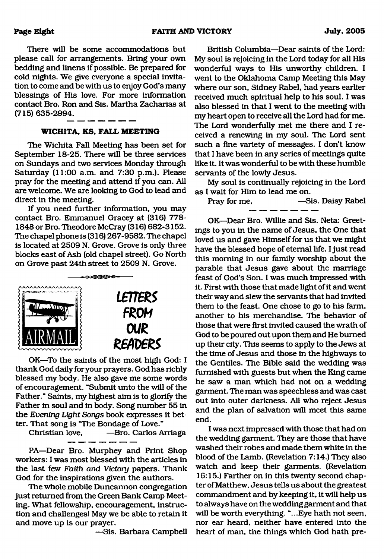There will be some accommodations but please call for arrangements. Bring your own bedding and linens if possible. Be prepared for cold nights. We give everyone a special invitation to come and be with us to enjoy God's many blessings of His love. For more information contact Bro. Ron and Sis. Martha Zacharias at (715) 635-2994.

#### **WICHITA, KS, FALL MEETING**

The Wichita Fall Meeting has been set for September 18-25. There will be three services on Sundays and two services Monday through Saturday (11:00 a.m. and 7:30 p.m.). Please pray for the meeting and attend if you can. All are welcome. We are looking to God to lead and direct in the meeting.

If you need further information, you may contact Bro. Emmanuel Gracey at (316) 778- 1848 or Bro. Theodore McCray (316) 682-3152. The chapel phone is (316) 267-9582. The chapel is located at 2509 N. Grove. Grove is only three blocks east of Ash (old chapel street). Go North on Grove past 24th street to 2509 N. Grove.



OK—To the saints of the most high God: I thank God daily for your prayers. God has richly blessed my body. He also gave me some words of encouragement. "Submit unto the will of the Father." Saints, my highest aim is to glorify the Father in soul and in body. Song number 55 in the *Evening Light Songs* book expresses it better. That song is "The Bondage of Love."

-Bro. Carlos Arriaga

PA—Dear Bro. Murphey and Print Shop workers: I was most blessed with the articles in the last few *Faith and Victory* papers. Thank God for the inspirations given the authors.

The whole mobile Duncannon congregation just returned from the Green Bank Camp Meeting, What fellowship, encouragement, instruction and challenges! May we be able to retain it and move up is our prayer.

—Sis. Barbara Campbell

British Columbia—Dear saints of the Lord: My soul is rejoicing in the Lord today for all His wonderful ways to His unworthy children. I went to the Oklahoma Camp Meeting this May where our son, Sidney Rabel, had years earlier received much spiritual help to his soul. I was also blessed in that I went to the meeting with my heart open to receive all the Lord had for me. The Lord wonderfully met me there and I received a renewing in my soul. The Lord sent such a fine variety of messages. I don't know that I have been in any series of meetings quite like it. It was wonderful to be with these humble servants of the lowly Jesus.

My soul is continually rejoicing in the Lord as I wait for Him to lead me on.

Pray for me, —Sis. Daisy Rabel

OK—Dear Bro. Willie and Sis. Neta: Greetings to you in the name of Jesus, the One that loved us and gave Himself for us that we might have the blessed hope of eternal life. I just read this morning in our family worship about the parable that Jesus gave about the marriage feast of God's Son. I was much impressed with it. First with those that made light of it and went their way and slew the servants that had invited them to the feast. One chose to go to his farm, another to his merchandise. The behavior of those that were first invited caused the wrath of God to be poured out upon them and He burned up their city. This seems to apply to the Jews at the time of Jesus and those in the highways to the Gentiles. The Bible said the wedding was furnished with guests but when the King came he saw a man which had not on a wedding garment. The man was speechless and was cast out into outer darkness. All who reject Jesus and the plan of salvation will meet this same end.

I was next impressed with those that had on the wedding garment. They are those that have washed their robes and made them white in the blood of the Lamb. (Revelation 7:14.) They also watch and keep their garments. (Revelation 16:15.) Farther on in this twenty second chapter of Matthew, Jesus tells us about the greatest commandment and by keeping it, it will help us to always have on the wedding garment and that will be worth everything. "...Eye hath not seen, nor ear heard, neither have entered into the heart of man, the things which God hath pre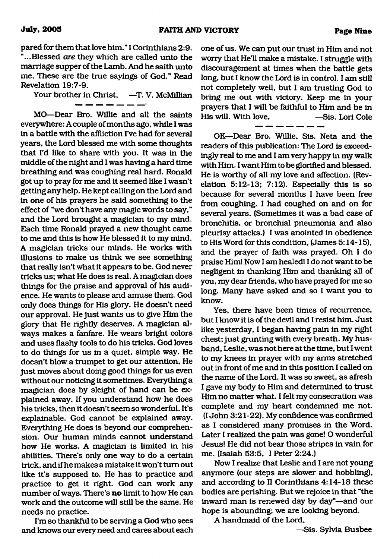pared for them that love him." I Corinthians 2:9. "...Blessed *are* they which are called unto the marriage supper of the Lamb. And he saith unto me, These are the true sayings of God." Read Revelation 19:7-9.

Your brother in Christ, -T. V. McMillian

MO—Dear Bro. Willie and all the saints everywhere: A couple of months ago, while I was in a battle with the affliction I've had for several years, the Lord blessed me with some thoughts that I'd like to share with you. It was in the middle of the night and I was having a hard time breathing and was coughing real hard. Ronald got up to pray for me and it seemed like I wasn't getting any help. He kept calling on the Lord and in one of his prayers he said something to the effect of "we don't have any magic words to say," and the Lord brought a magician to my mind. Each time Ronald prayed a new thought came to me and this is how He blessed it to my mind. A magician tricks our minds. He works with illusions to make us think we see something that really isn't what it appears to be. God never tricks us; what He does is real. A magician does things for the praise and approval of his audience. He wants to please and amuse them. God only does things for His glory. He doesn't need our approval. He just wants us to give Him the glory that He rightly deserves. A magician always makes a fanfare. He wears bright colors and uses flashy tools to do his tricks. God loves to do things for us in a quiet, simple way. He doesn't blow a trumpet to get our attention. He just moves about doing good things for us even without our noticing it sometimes. Everything a magician does by sleight of hand can be explained away. If you understand how he does his tricks, then it doesn't seem so wonderful. It's explainable. God cannot be explained away. Everything He does is beyond our comprehension. Our human minds cannot understand how He works. A magician is limited in his abilities. There's only one way to do a certain trick, and if he makes a mistake it won't turn out like it's supposed to. He has to practice and practice to get it right. God can work any number of ways. There's **no** limit to how He can work and the outcome will still be the same. He needs no practice.

I'm so thankful to be serving a God who sees and knows our every need and cares about each

one of us. We can put our trust in Him and not worry that He'll make a mistake. I struggle with discouragement at times when the battle gets long, but I know the Lord is in control. I am still not completely well, but I am trusting God to bring me out with victory. Keep me in your prayers that I will be faithful to Him and be in His will. With love, —Sis. Lori Cole

OK—Dear Bro. Willie, Sis. Neta and the readers of this publication: The Lord is exceedingly real to me and I am very happy in my walk with Him. I want Him to be glorified and blessed. He is worthy of all my love and affection. (Revelation 5:12-13; 7:12). Especially this is so because for several months I have been free from coughing. I had coughed on and on for several years. (Sometimes it was a bad case of bronchitis, or bronchial pneumonia and also pleurisy attacks.) I was anointed in obedience to His Word for this condition, (James 5:14-15), and the prayer of faith was prayed. Oh I do praise Him! Now I am healed! I do not want to be negligent in thanking Him and thanking all of you, my dear friends, who have prayed for me so long. Many have asked and so I want you to know.

Yes, there have been times of recurrence, but I know it is of the devil and I resist him. Just like yesterday, I began having pain in my right chest; just grunting with every breath. My husband, Leslie, was not here at the time, but I went to my knees in prayer with my arms stretched out in front of me and in this position I called on the name of the Lord. It was so sweet, as afresh I gave my body to Him and determined to trust Him no matter what. I felt my consecration was complete and my heart condemned me not. (I John 3:21-22). My confidence was confirmed as I considered many promises in the Word. Later I realized the pain was gone! O wonderful Jesus! He did not bear those stripes in vain for me. (Isaiah 53:5, I Peter 2:24.)

Now I realize that Leslie and I are not young anymore (our steps are slower and hobbling), and according to II Corinthians 4:14-18 these bodies are perishing. But we rejoice in that "the inward man is renewed day by day"—and our hope is abounding; we are looking beyond.

A handmaid of the Lord,

—Sis. Sylvia Busbee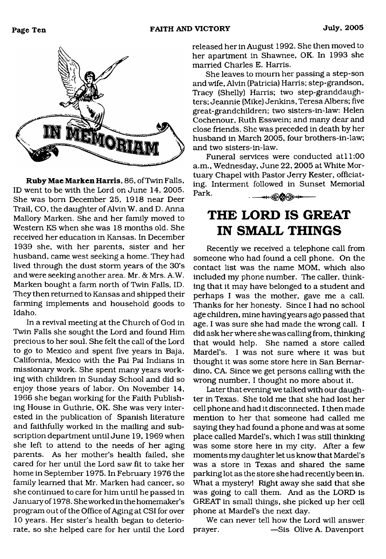

Ruby Mae Marken Harris, 86, ofTwin Falls, ID went to be with the Lord on June 14, 2005. She was bom December 25, 1918 near Deer Trail, CO, the daughter of Alvin W. and D. Anna Mallory Marken. She and her family moved to Western KS when she was 18 months old. She received her education in Kansas. In December 1939 she, with her parents, sister and her husband, came west seeking a home. They had lived through the dust storm years of the 30's and were seeking another area. Mr. & Mrs. A.W. Marken bought a farm north of Twin Falls, ID. They then returned to Kansas and shipped their farming implements and household goods to Idaho.

In a revival meeting at the Church of God in Twin Falls she sought the Lord and found Him precious to her soul. She felt the call of the Lord to go to Mexico and spent five years in Baja, California, Mexico with the Pai Pai Indians in missionary work. She spent many years working with children in Sunday School and did so enjoy those years of labor. On November 14, 1966 she began working for the Faith Publishing House in Guthrie, OK. She was very interested in the publication of Spanish literature and faithfully worked in the mailing and subscription department until June 19, 1969 when she left to attend to the needs of her aging parents. As her mother's health failed, she cared for her until the Lord saw fit to take her home in September 1975. In February 1976 the family learned that Mr. Marken had cancer, so she continued to care for him until he passed in January of 1978. She worked in the homemaker's program out of the Office of Aging at CSI for over 10 years. Her sister's health began to deteriorate, so she helped care for her until the Lord released her in August 1992. She then moved to her apartment in Shawnee, OK. In 1993 she married Charles E. Harris.

She leaves to mourn her passing a step-son and wife, Alvin (Patricia) Harris; step-grandson, Tracy (Shelly) Harris; two step-granddaughters; Jeannie (Mike) Jenkins, Teresa Albers; five great-grandchildren; two sisters-in-law: Helen Cochenour, Ruth Esswein; and many dear and close friends. She was preceded in death by her husband in March 2005, four brothers-in-law; and two sisters-in-law.

Funeral services were conducted at 11:00 a.m., Wednesday, June 22, 2005 at White Mortuary Chapel with Pastor Jerry Kester, officiating. Interment followed in Sunset Memorial Park. ੶<del>੶੶੶੶</del>੶੶੶੶੶੶੶੶

# <span id="page-9-0"></span>**THE LORD IS GREAT IN SMALL THINGS**

Recently we received a telephone call from someone who had found a cell phone. On the contact list was the name MOM, which also included my phone number. The caller, thinking that it may have belonged to a student and perhaps I was the mother, gave me a call. Thanks for her honesty. Since I had no school age children, mine having years ago passed that age, I was sure she had made the wrong call. I did ask her where she was calling from, thinking that would help. She named a store called Mardel's. I was not sure where it was but thought it was some store here in San Bernardino, CA. Since we get persons calling with the wrong number, I thought no more about it.

Later that evening we talked with our daughter in Texas. She told me that she had lost her cell phone and had it disconnected. I then made mention to her that someone had called me saying they had found a phone and was at some place called Mardel's, which I was still thinking was some store here in my city. After a few moments my daughter let us know that Mardel's was a store in Texas and shared the same parking lot as the store she had recently been in. What a mystery! Right away she said that she was going to call them. And as the LORD is GREAT in small things, she picked up her cell phone at Mardel's the next day.

We can never tell how the Lord will answer prayer. —Sis Olive A. Davenport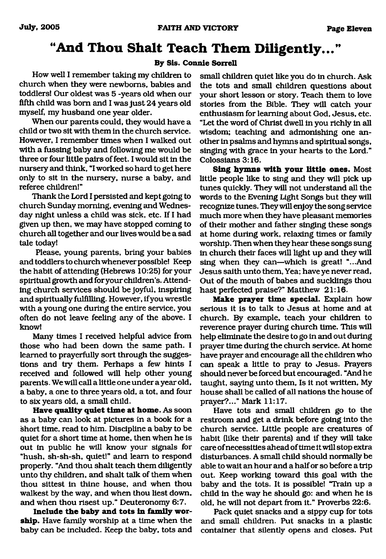## **"And Thou Shalt Teach Them Diligently..."**

#### **By Sis. Connie Sorrell**

How well I remember taking my children to church when they were newborns, babies and toddlers! Our oldest was 5 -years old when our fifth child was born and I was just 24 years old myself, my husband one year older.

When our parents could, they would have a child or two sit with them in the church service. However, I remember times when I walked out with a fussing baby and following me would be three or four little pairs of feet. I would sit in the nursery and think, "I worked so hard to get here only to sit in the nursery, nurse a baby, and referee children!"

Thank the Lord I persisted and kept going to church Sunday morning, evening and Wednesday night unless a child was sick, etc. If I had given up then, we may have stopped coming to church all together and our lives would be a sad tale today!

Please, young parents, bring your babies and toddlers to church whenever possible! Keep the habit of attending (Hebrews 10:25) for your spiritual growth and for your children's. Attending church services should be joyful, inspiring and spiritually fulfilling. However, if you wrestle with a young one during the entire service, you often do not leave feeling any of the above. I know!

Many times I received helpful advice from those who had been down the same path. I learned to prayerfully sort through the suggestions and try them. Perhaps a few hints I received and followed will help other young parents. We will call a little one under a year old, a baby, a one to three years old, a tot, and four to six years old, a small child.

**Have quality quiet time at home.** As soon as a baby can look at pictures in a book for a short time, read to him. Discipline a baby to be quiet for a short time at home, then when he is out in public he will know your signals for "hush, sh-sh-sh, quiet!" and learn to respond properly. "And thou shalt teach them diligently unto thy children, and shalt talk of them when thou sittest in thine house, and when thou walkest by the way, and when thou liest down, and when thou risest up." Deuteronomy 6:7.

Include the baby and tots in family wor**ship.** Have family worship at a time when the baby can be included. Keep the baby, tots and small children quiet like you do in church. Ask the tots and small children questions about your short lesson or story. Teach them to love stories from the Bible. They will catch your enthusiasm for learning about God, Jesus, etc. "Let the word of Christ dwell in you richly in all wisdom; teaching and admonishing one another in psalms and hymns and spiritual songs, singing with grace in your hearts to the Lord." Colossians 3:16.

**Sing hymns with your little ones.** Most little people like to sing and they will pick up tunes quickly. They will not understand all the words to the Evening Light Songs but they will recognize tunes. They will enjoy the song service much more when they have pleasant memories of their mother and father singing these songs at home during work, relaxing times or family worship. Then when they hear these songs sung in church their faces will light up and they will sing when they can—which is great! "...And Jesus saith unto them, Yea; have ye never read, Out of the mouth of babes and sucklings thou hast perfected praise?" Matthew 21:16.

**Make prayer time special.** Explain how serious it is to talk to Jesus at home and at church. By example, teach your children to reverence prayer during church time. This will help eliminate the desire to go in and out during prayer time during the church service. At home have prayer and encourage all the children who can speak a little to pray to Jesus. Prayers should never be forced but encouraged. "And he taught, saying unto them, Is it not written, My house shall be called of all nations the house of prayer?..." Mark 11:17.

Have tots and small children go to the restroom and get a drink before going into the church service. Little people are creatures of habit (like their parents) and if they will take care of necessities ahead of time it will stop extra disturbances. A small child should normally be able to wait an hour and a half or so before a trip out. Keep working toward this goal with the baby and the tots. It is possible! "Train up a child in the way he should go: and when he is old, he will not depart from it." Proverbs 22:6.

Pack quiet snacks and a sippy cup for tots and small children. Put snacks in a plastic container that silently opens and closes. Put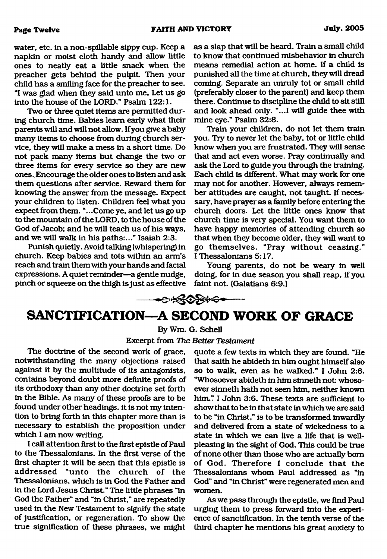water, etc. in a non-spillable sippy cup. Keep a napkin or moist cloth handy and allow little ones to neatly eat a little snack when the preacher gets behind the pulpit. Then your child has a smiling face for the preacher to see. "I was glad when they said unto me, Let us go into the house of the LORD." Psalm 122:1.

Two or three quiet items are permitted during church time. Babies learn early what their parents will and will not allow. If you give a baby many items to choose from during church service, they will make a mess in a short time. Do not pack many items but change the two or three items for every service so they are new ones. Encourage the older ones to listen and ask them questions after service. Reward them for knowing the answer from the message. Expect your children to listen. Children feel what you expect from them. "...Come ye, and let us go up to the mountain of the LORD, to the house of the God of Jacob; and he will teach us of his ways, and we will walk in his paths:..." Isaiah 2:3.

Punish quietly. Avoid talking (whispering) in church. Keep babies and tots within an arm's reach and train them with your hands and facial expressions. A quiet reminder—a gentle nudge, pinch or squeeze on the thigh is just as effective

as a slap that will be heard. Train a small child to know that continued misbehavior in church means remedial action at home. If a child is punished all the time at church, they will dread coming. Separate an unruly tot or small child (preferably closer to the parent) and keep them there. Continue to discipline the child to sit still and look ahead only. "...I will guide thee with mine eye." Psalm 32:8.

Train your children, do not let them train you. Try to never let the baby, tot or little child know when you are frustrated. They will sense that and act even worse. Pray continually and ask the Lord to guide you through the training. Each child is different. What may work for one may not for another. However, always remember attitudes are caught, not taught. If necessary, have prayer as a family before entering the church doors. Let the little ones know that church time is very special. You want them to have happy memories of attending church so that when they become older, they will want to go them selves. "Pray w ithout ceasing." I Thessalonians 5:17.

Young parents, do not be weary in well doing, for in due season you shall reap, if you faint not. (Galatians 6:9.)

# **SANCTIFICATION—A SECOND WORK OF GRACE**

<del>੶੶੶੶੶੶</del>੶੶੶੶੶੶੶੶੶

### By Wm. G. Schell Excerpt from *The Better Testament*

The doctrine of the second work of grace, notwithstanding the many objections raised against it by the multitude of its antagonists, contains beyond doubt more definite proofs of its orthodoxy than any other doctrine set forth in the Bible. As many of these proofs are to be found under other headings, it is not my intention to bring forth in this chapter more than is necessary to establish the proposition under which I am now writing.

I call attention first to the first epistle of Paul to the Thessalonians. In the first verse of the first chapter it will be seen that this epistle is addressed "unto the church of the Thessalonians, which is in God the Father and in the Lord Jesus Christ." The little phrases "in God the Father" and "in Christ," are repeatedly used in the New Testament to signify the state of justification, or regeneration. To show the true signification of these phrases, we might quote a few texts in which they are found. "He that salth he abideth in him ought himself also so to walk, even as he walked." I John 2:6. "Whosoever abideth in him sinneth not: whosoever sinneth hath not seen him, neither known him." I John 3:6. These texts are sufficient to show that to be in that state in which we are said to be "in Christ," is to be transformed inwardly and delivered from a state of wickedness to a state in which we can live a life that is wellpleasing in the sight of God. This could be true of none other than those who are actually bom of God. Therefore I conclude that the Thessalonians whom Paul addressed as "in God" and "in Christ" were regenerated men and women.

As we pass through the epistle, we find Paul urging them to press forward into the experience of sanctification. In the tenth verse of the third chapter he mentions his great anxiety to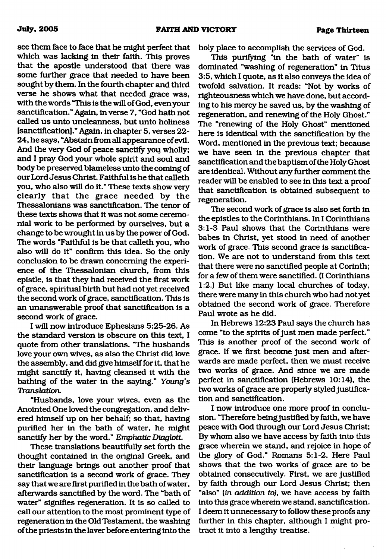see them face to face that he might perfect that which was lacking in their faith. This proves that the apostle understood that there was some further grace that needed to have been sought by them. In the fourth chapter and third verse he shows what that needed grace was, with the words "This is the will of God, even your sanctification." Again, in verse 7, "God hath not called us unto uncleanness, but unto holiness [sanctification]." Again, in chapter 5, verses 22- 24, he says, "Abstain from all appearance of evil. And the very God of peace sanctify you wholly; and I pray God your whole spirit and soul and body be preserved blameless unto the coming of our Lord Jesus Christ. Faithful is he that calleth you, who also will do it." These texts show very clearly that the grace needed by the Thessalonians was sanctification. The tenor of these texts shows that it was not some ceremonial work to be performed by ourselves, but a change to be wrought in us by the power of God. The words "Faithful is he that calleth you, who also will do it" confirm this idea. So the only conclusion to be drawn concerning the experience of the Thessalonian church, from this epistle, is that they had received the first work of grace, spiritual birth but had not yet received the second work of grace, sanctification. This is an unanswerable proof that sanctification is a second work of grace.

I will now introduce Ephesians 5:25-26. As the standard version is obscure on this text, I quote from other translations. "The husbands love your own wives, as also the Christ did love the assembly, and did give himself for it, that he might sanctify it, having cleansed it with the bathing of the water in the saying." *Young's Translation.*

"Husbands, love your wives, even as the Anointed One loved the congregation, and delivered himself up on her behalf; so that, having purified her in the bath of water, he might sanctify her by the word." *Emphatic Diaglott.*

These translations beautifully set forth the thought contained in the original Greek, and their language brings out another proof that sanctification is a second work of grace. They say that we are first purified in the bath of water, afterwards sanctified by the word. The "bath of water" signifies regeneration. It is so called to call our attention to the most prominent type of regeneration in the Old Testament, the washing of the priests in the laver before entering into the

holy place to accomplish the services of God.

This purifying "in the bath of water" is dominated "washing of regeneration" in Titus 3:5, which I quote, as it also conveys the idea of twofold salvation. It reads: "Not by works of righteousness which we have done, but according to his mercy he saved us, by the washing of regeneration, and renewing of the Holy Ghost." The "renewing of the Holy Ghost" mentioned here is identical with the sanctification by the Word, mentioned in the previous text; because we have seen in the previous chapter that sanctification and the baptism of the Holy Ghost are identical. Without any further comment the reader will be enabled to see in this text a proof that sanctification is obtained subsequent to regeneration.

The second work of grace is also set forth in the epistles to the Corinthians. In I Corinthians 3:1-3 Paul shows that the Corinthians were babes in Christ, yet stood in need of another work of grace. This second grace is sanctification. We are not to understand from this text that there were no sanctified people at Corinth; for a few of them were sanctified. (I Corinthians 1:2.) But like many local churches of today, there were many in this church who had not yet obtained the second work of grace. Therefore Paul wrote as he did.

In Hebrews 12:23 Paul says the church has come "to the spirits of just men made perfect." This is another proof of the second work of grace. If we first become just men and afterwards are made perfect, then we must receive two works of grace. And since we are made perfect in sanctification (Hebrews 10:14), the two works of grace are properly styled justification and sanctification.

I now introduce one more proof in conclusion. "Therefore being justified by faith, we have peace with God through our Lord Jesus Christ; By whom also we have access by faith into this grace wherein we stand, and rejoice in hope of the glory of God." Romans 5:1-2. Here Paul shows that the two works of grace are to be obtained consecutively. First, we are justified by faith through our Lord Jesus Christ; then "also" (in *addition to),* we have access by faith into this grace wherein we stand, sanctification. I deem it unnecessary to follow these proofs any further in this chapter, although I might protract it into a lengthy treatise.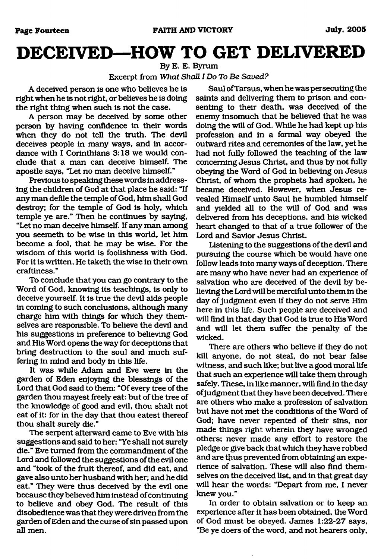# <span id="page-13-0"></span>**DECEIVED—HOW TO GET DELIVERED**

By E. E. Byrum

#### Excerpt from *What Shall I Do To Be Saved?*

A deceived person is one who believes he is right when he is not right, or believes he is doing the right thing when such is not the case.

A person may be deceived by some other person by having confidence in their words when they do not tell the truth. The devil deceives people in many ways, and in accordance with I Corinthians 3:18 we would conclude that a man can deceive himself. The apostle says, "Let no man deceive himself."

Previous to speaking these words in addressing the children of God at that place he said: "If any man defile the temple of God, him shall God destroy; for the temple of God is holy, which temple ye are." Then he continues by saying, "Let no man deceive himself. If any man among you seemeth to be wise in this world, let him become a fool, that he may be wise. For the wisdom of this world is foolishness with God. For it is written, He taketh the wise in their own craftiness."

To conclude that you can go contrary to the Word of God, knowing its teachings, is only to deceive yourself. It is true the devil aids people in coming to such conclusions, although many charge him with things for which they themselves are responsible. To believe the devil and his suggestions in preference to believing God and His Word opens the way for deceptions that bring destruction to the soul and much suffering in mind and body in this life.

It was while Adam and Eve were in the garden of Eden enjoying the blessings of the Lord that God said to them: "Of every tree of the garden thou mayest freely eat: but of the tree of the knowledge of good and evil, thou shalt not eat of it: for in the day that thou eatest thereof thou shalt surely die."

The serpent afterward came to Eve with his suggestions and said to her: "Ye shall not surely die." Eve turned from the commandment of the Lord and followed the suggestions of the evil one and "took of the fruit thereof, and did eat, and gave also unto her husband with her; and he did eat." They were thus deceived by the evil one because they believed him instead of continuing to believe and obey God. The result of this disobedience was that they were driven from the garden of Eden and the curse of sin passed upon all men.

Saul of Tarsus, when he was persecuting the saints and delivering them to prison and consenting to their death, was deceived of the enemy insomuch that he believed that he was doing the will of God. While he had kept up his profession and in a formal way obeyed the outward rites and ceremonies of the law, yet he had not fully followed the teaching of the law concerning Jesus Christ, and thus by not fully obeying the Word of God in believing on Jesus Christ, of whom the prophets had spoken, he became deceived. However, when Jesus revealed Himself unto Saul he humbled himself and yielded all to the will of God and was delivered from his deceptions, and his wicked heart changed to that of a true follower of the Lord and Savior Jesus Christ.

Listening to the suggestions of the devil and pursuing the course which be would have one follow leads into many ways of deception. There are many who have never had an experience of salvation who are deceived of the devil by believing the Lord will be merciful unto them in the day of judgment even if they do not serve Him here in this life. Such people are deceived and will find in that day that God is true to His Word and will let them suffer the penalty of the wicked.

There are others who believe if they do not kill anyone, do not steal, do not bear false witness, and such like; but live a good moral life that such an experience will take them through safely. These, in like manner, will find in the day of judgment that they have been deceived. There are others who make a profession of salvation but have not met the conditions of the Word of God; have never repented of their sins, nor made things right wherein they have wronged others; never made any effort to restore the pledge or give back that which they have robbed and are thus prevented from obtaining an experience of salvation. These will also find themselves on the deceived list, and in that great day will hear the words: "Depart from me, I never knew you."

In order to obtain salvation or to keep an experience after it has been obtained, the Word of God must be obeyed. James 1:22-27 says, "Be ye doers of the word, and not hearers only.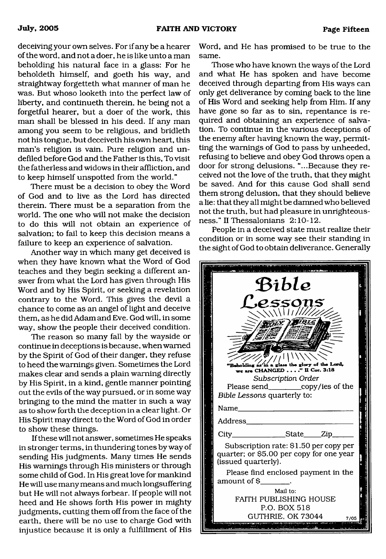deceiving your own selves. For if any be a hearer of the word, and not a doer, he is like unto a man beholding his natural face in a glass: For he beholdeth himself, and goeth his way, and straightway forgetteth what manner of man he was. But whoso looketh into the perfect law of liberty, and continueth therein, he being not a forgetful hearer, but a doer of the work, this man shall be blessed in his deed. If any man among you seem to be religious, and bridleth not his tongue, but deceiveth his own heart, this man's religion is vain. Pure religion and undefiled before God and the Father is this. To visit the fatherless and widows in their affliction, and to keep himself unspotted from the world."

There must be a decision to obey the Word of God and to live as the Lord has directed therein. There must be a separation from the world. The one who will not make the decision to do this will not obtain an experience of salvation; to fail to keep this decision means a failure to keep an experience of salvation.

Another way in which many get deceived is when they have known what the Word of God teaches and they begin seeking a different answer from what the Lord has given through His Word and by His Spirit, or seeking a revelation contrary to the Word. This gives the devil a chance to come as an angel of light and deceive them, as he did Adam and Eve. God will, in some way, show the people their deceived condition.

The reason so many fall by the wayside or continue in deceptions is because, when warned by the Spirit of God of their danger, they refuse to heed the warnings given. Sometimes the Lord makes clear and sends a plain warning directly by His Spirit, in a kind, gentle manner pointing out the evils of the way pursued, or in some way bringing to the mind the matter in such a way as to show forth the deception in a clear light. Or His Spirit may direct to the Word of God in order to show these things.

If these will not answer, sometimes He speaks in stronger terms, in thundering tones by way of sending His judgments. Many times He sends His warnings through His ministers or through some child of God. In His great love for mankind He will use many means and much longsuffering but He will not always forbear. If people will not heed and He shows forth His power in mighty judgments, cutting them off from the face of the earth, there will be no use to charge God with injustice because it is only a fulfillment of His Word, and He has promised to be true to the same.

Those who have known the ways of the Lord and what He has spoken and have become deceived through departing from His ways can only get deliverance by coming back to the line of His Word and seeking help from Him. If any have gone so far as to sin, repentance is required and obtaining an experience of salvation. To continue in the various deceptions of the enemy after having known the way, permitting the warnings of God to pass by unheeded, refusing to believe and obey God throws open a door for strong delusions. "...Because they received not the love of the truth, that they might be saved. And for this cause God shall send them strong delusion, that they should believe a lie: that they all might be damned who believed not the truth, but had pleasure in unrighteousness." II Thessalonians 2:10-12.

People in a deceived state must realize their condition or in some way see their standing in the sight of God to obtain deliverance. Generally

| Bible<br>.e.ssons<br>WWW<br>holding as in a glass the glory of the Lord,<br>are CHANGED " II Cor. 3:18<br>Subscription Order<br>Bible Lessons quarterly to:<br>Name                                                                                                                                        |  |
|------------------------------------------------------------------------------------------------------------------------------------------------------------------------------------------------------------------------------------------------------------------------------------------------------------|--|
| Address_<br>City________________State_____Zip______<br>Subscription rate: \$1.50 per copy per<br>quarter; or \$5.00 per copy for one year<br>(issued quarterly).<br>Please find enclosed payment in the<br>amount of \$<br>Mail to:<br>FAITH PUBLISHING HOUSE<br>P.O. BOX 518<br>GUTHRIE, OK 73044<br>7705 |  |